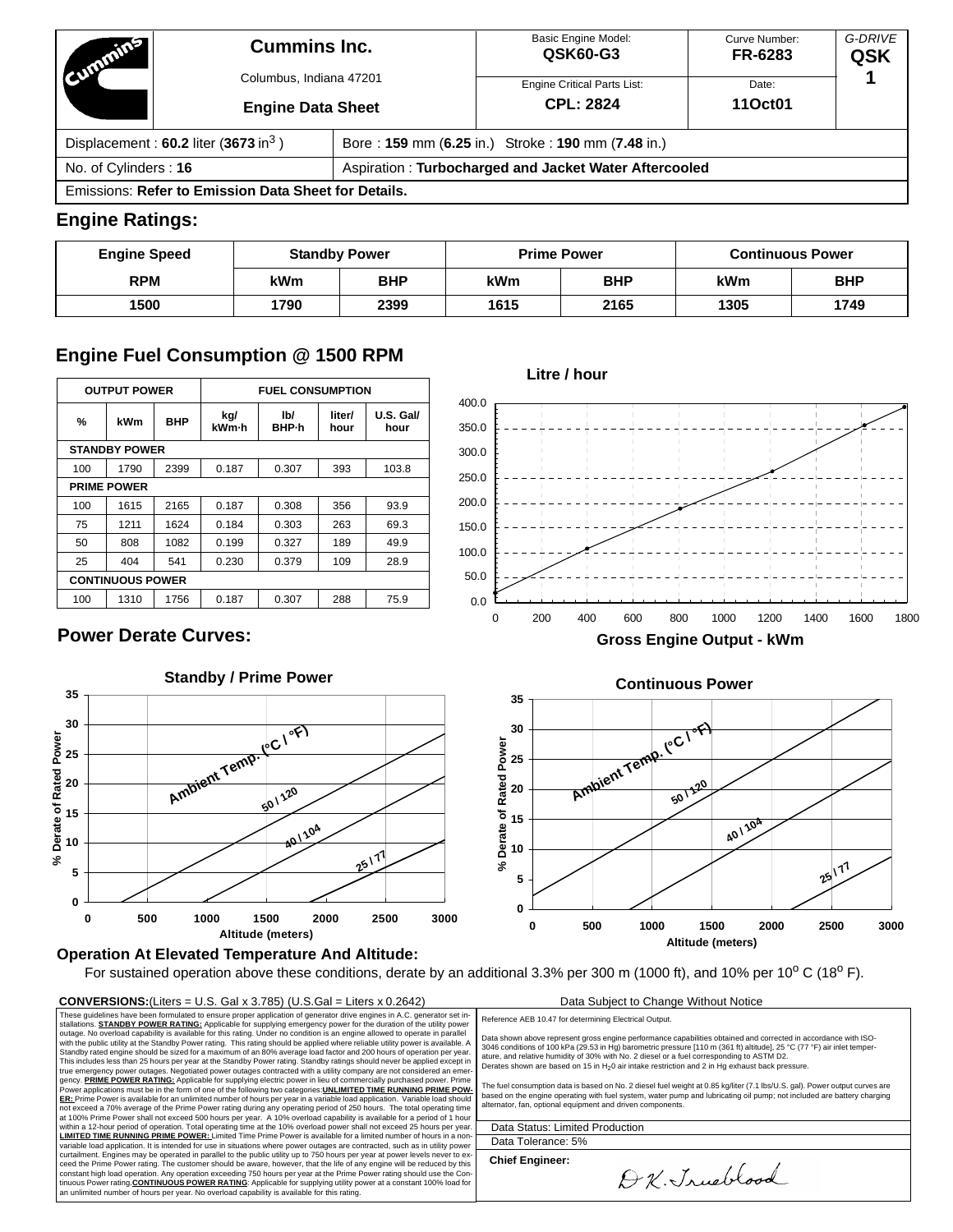| Commins                                            | <b>Cummins Inc.</b><br>Columbus, Indiana 47201<br><b>Engine Data Sheet</b> |  | Basic Engine Model:<br>QSK60-G3                       | Curve Number:<br>FR-6283 | G-DRIVE<br><b>QSK</b> |
|----------------------------------------------------|----------------------------------------------------------------------------|--|-------------------------------------------------------|--------------------------|-----------------------|
|                                                    |                                                                            |  | <b>Engine Critical Parts List:</b>                    | Date:                    |                       |
|                                                    |                                                                            |  | <b>CPL: 2824</b>                                      | 11Oct01                  |                       |
| Displacement: $60.2$ liter (3673 in <sup>3</sup> ) |                                                                            |  | Bore: 159 mm (6.25 in.) Stroke: 190 mm (7.48 in.)     |                          |                       |
| No. of Cylinders: 16                               |                                                                            |  | Aspiration: Turbocharged and Jacket Water Aftercooled |                          |                       |
|                                                    | <b>Emissions: Refer to Emission Data Sheet for Details.</b>                |  |                                                       |                          |                       |
| <b>Engine Ratings:</b>                             |                                                                            |  |                                                       |                          |                       |

| <b>Standby Power</b><br><b>Engine Speed</b> |      |            | <b>Prime Power</b> | <b>Continuous Power</b> |      |            |
|---------------------------------------------|------|------------|--------------------|-------------------------|------|------------|
| <b>RPM</b>                                  | kWm  | <b>BHP</b> | kWm                | <b>BHP</b>              | kWm  | <b>BHP</b> |
| 1500                                        | 1790 | 2399       | 1615               | 2165                    | 1305 | 1749       |

## **Engine Fuel Consumption @ 1500 RPM**

|      | <b>OUTPUT POWER</b>     |            |                             | <b>FUEL CONSUMPTION</b>             |                |                   |                |                                     |            |     |                                         |      |         |      |      |      |
|------|-------------------------|------------|-----------------------------|-------------------------------------|----------------|-------------------|----------------|-------------------------------------|------------|-----|-----------------------------------------|------|---------|------|------|------|
| $\%$ | kWm                     | <b>BHP</b> | kg/<br>kWm-h                | lb/<br>BHP-h                        | liter/<br>hour | U.S. Gal/<br>hour | 400.0<br>350.0 |                                     |            |     |                                         |      |         |      |      |      |
|      | <b>STANDBY POWER</b>    |            |                             |                                     |                |                   | 300.0          |                                     |            |     |                                         |      |         |      |      |      |
| 100  | 1790                    | 2399       | 0.187                       | 0.307                               | 393            | 103.8             | 250.0          |                                     |            |     |                                         |      |         |      |      |      |
|      | <b>PRIME POWER</b>      |            |                             |                                     |                |                   |                |                                     |            |     |                                         |      |         |      |      |      |
| 100  | 1615                    | 2165       | 0.187                       | 0.308                               | 356            | 93.9              | 200.0          |                                     |            |     |                                         |      |         |      |      |      |
| 75   | 1211                    | 1624       | 0.184                       | 0.303                               | 263            | 69.3              | 150.0          |                                     |            |     |                                         |      |         |      |      |      |
| 50   | 808                     | 1082       | 0.199                       | 0.327                               | 189            | 49.9              | 100.0          |                                     |            |     |                                         |      |         |      |      |      |
| 25   | 404                     | 541        | 0.230                       | 0.379                               | 109            | 28.9              |                |                                     |            |     |                                         |      |         |      |      |      |
|      | <b>CONTINUOUS POWER</b> |            |                             |                                     |                |                   | 50.0           |                                     |            |     |                                         |      |         |      |      |      |
|      |                         | 1756       | 0.187                       | 0.307                               | 288            | 75.9              |                |                                     |            |     |                                         |      |         |      |      |      |
| 100  | 1310                    |            | <b>Power Derate Curves:</b> |                                     |                |                   | 0.0            | 0                                   | 200<br>400 | 600 | 800<br><b>Gross Engine Output - kWm</b> | 1000 | 1200    | 1400 | 1600 |      |
| 35   |                         |            |                             | <b>Standby / Prime Power</b>        |                |                   |                |                                     |            |     | <b>Continuous Power</b>                 |      |         |      |      |      |
|      |                         |            |                             |                                     |                |                   |                | 35                                  |            |     |                                         |      |         |      |      | 1800 |
|      |                         |            |                             |                                     |                |                   |                | 30                                  |            |     |                                         |      |         |      |      |      |
|      |                         |            |                             |                                     |                |                   |                | 25                                  |            |     |                                         |      |         |      |      |      |
|      |                         |            |                             | Ambient Temp. (Cl°FT<br>$501^{120}$ |                |                   |                | 20                                  |            |     | Ambient Temp. (°C1°F)<br><b>501120</b>  |      |         |      |      |      |
|      |                         |            |                             | $A^{Q_1}$                           |                | 25171             |                | % Derate of Rated Power<br>15<br>10 |            |     |                                         |      | 401 104 |      |      |      |

#### **Operation At Elevated Temperature And Altitude:**

For sustained operation above these conditions, derate by an additional 3.3% per 300 m (1000 ft), and 10% per 10° C (18° F).

**0 5**

#### **CONVERSIONS:**(Liters = U.S. Gal x 3.785) (U.S.Gal = Liters x 0.2642) Data Subject to Change Without Notice

These guidelines have been formulated to ensure proper application of generator drive engines in A.C. generator set in-<br>stallations. **STANDBY POWER RATING:** Applicable for supplying emergency power for the duration of the outage. No overload capability is available for this rating. Under no condition is an engine allowed to operate in parallel<br>with the public utility at the Standby Power rating. This rating should be applied where reliable This includes less than 25 hours per year at the Standby Power rating. Standby ratings should never be applied except in true emergency power outages. Negotiated power outages contracted with a utility company are not considered an emer-<br>gency. **PEIME POWER RATING:** Applicable for supplying electric power in lieu of commercially purchased po **ER:** Prime Power is available for an unlimited number of hours per year in a variable load application. Variable load should not exceed a 70% average of the Prime Power rating during any operating period of 250 hours. The total operating time<br>at 100% Prime Power shall not exceed 500 hours per year. A 10% overload capability is available for a **LIMITED TIME RUNNING PRIME POWER:** Limited Time Prime Power is available for a limited number of hours in a non-<br>variable load application. It is intended for use in situations where power outages are contracted, such as ceed the Prime Power rating. The customer should be aware, however, that the life of any engine will be reduced by this constant high load operation. Any operation exceeding 750 hours per year at the Prime Power rating should use the Con-<br>tinuous Power rating <u>CO**NTINUOUS POWER RATING:** Appl</u>icable for supplying utility power at a constant

**0 500 1000 1500 2000 2500 3000 Altitude (meters)**

**<sup>25</sup> / <sup>77</sup>**

Reference AEB 10.47 for determining Electrical Output.

Data shown above represent gross engine performance capabilities obtained and corrected in accordance with ISO-<br>3046 conditions of 100 kPa (29.53 in Hg) barometric pressure [110 m (361 ft) altitude], 25 °C (77 °F) air inle Derates shown are based on 15 in  $H_2$ 0 air intake restriction and 2 in Hg exhaust back pressure.

**0 500 1000 1500 2000 2500 3000 Altitude (meters)**

**<sup>25</sup> / <sup>77</sup>**

The fuel consumption data is based on No. 2 diesel fuel weight at 0.85 kg/liter (7.1 lbs/U.S. gal). Power output curves are based on the engine operating with fuel system, water pump and lubricating oil pump; not included are battery charging alternator, fan, optional equipment and driven components.

Data Status: Limited Production Data Tolerance: 5%

**Chief Engineer:**

D.K. Jrusblood

**Litre / hour**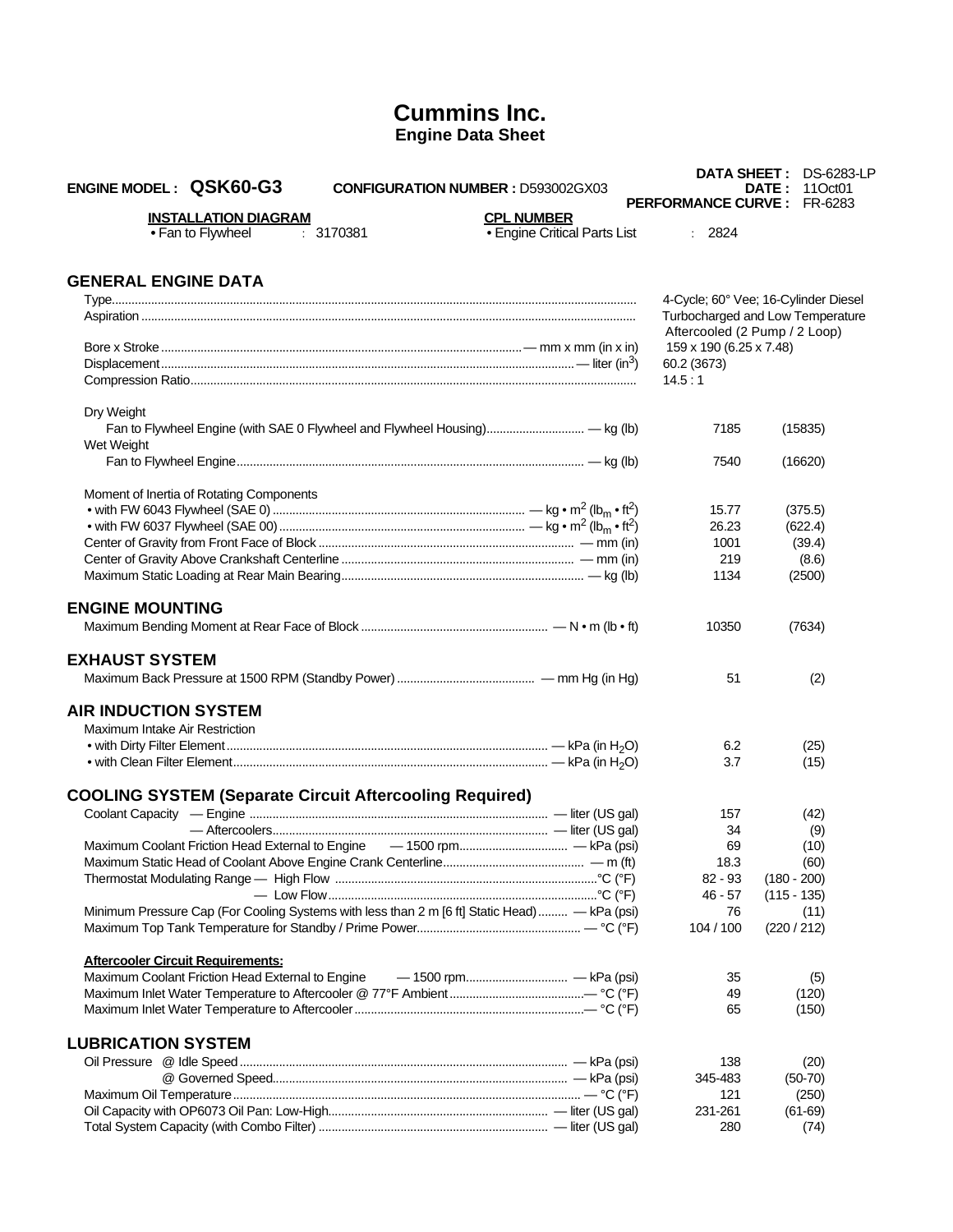# **Cummins Inc. Engine Data Sheet**

|                                                                                              |                                           |                                   | DATA SHEET: DS-6283-LP               |
|----------------------------------------------------------------------------------------------|-------------------------------------------|-----------------------------------|--------------------------------------|
| <b>ENGINE MODEL: QSK60-G3</b>                                                                | <b>CONFIGURATION NUMBER : D593002GX03</b> | <b>PERFORMANCE CURVE: FR-6283</b> | <b>DATE: 110ct01</b>                 |
| <b>INSTALLATION DIAGRAM</b>                                                                  | <b>CPL NUMBER</b>                         |                                   |                                      |
| • Fan to Flywheel<br>: 3170381                                                               | • Engine Critical Parts List              | : 2824                            |                                      |
| <b>GENERAL ENGINE DATA</b>                                                                   |                                           |                                   |                                      |
|                                                                                              |                                           |                                   | 4-Cycle; 60° Vee; 16-Cylinder Diesel |
|                                                                                              |                                           |                                   | Turbocharged and Low Temperature     |
|                                                                                              |                                           | 159 x 190 (6.25 x 7.48)           | Aftercooled (2 Pump / 2 Loop)        |
|                                                                                              |                                           | 60.2 (3673)                       |                                      |
|                                                                                              |                                           | 14.5:1                            |                                      |
| Dry Weight                                                                                   |                                           |                                   |                                      |
| Fan to Flywheel Engine (with SAE 0 Flywheel and Flywheel Housing) - kg (lb)                  |                                           | 7185                              | (15835)                              |
| Wet Weight                                                                                   |                                           |                                   |                                      |
|                                                                                              |                                           | 7540                              | (16620)                              |
| Moment of Inertia of Rotating Components                                                     |                                           |                                   |                                      |
|                                                                                              |                                           | 15.77                             | (375.5)                              |
|                                                                                              |                                           | 26.23                             | (622.4)                              |
|                                                                                              |                                           | 1001                              | (39.4)                               |
|                                                                                              |                                           | 219                               | (8.6)                                |
|                                                                                              |                                           | 1134                              | (2500)                               |
| <b>ENGINE MOUNTING</b>                                                                       |                                           |                                   |                                      |
|                                                                                              |                                           | 10350                             | (7634)                               |
| <b>EXHAUST SYSTEM</b>                                                                        |                                           |                                   |                                      |
|                                                                                              |                                           | 51                                | (2)                                  |
| <b>AIR INDUCTION SYSTEM</b>                                                                  |                                           |                                   |                                      |
| Maximum Intake Air Restriction                                                               |                                           |                                   |                                      |
|                                                                                              |                                           | 6.2                               | (25)                                 |
|                                                                                              |                                           | 3.7                               | (15)                                 |
| <b>COOLING SYSTEM (Separate Circuit Aftercooling Required)</b>                               |                                           |                                   |                                      |
|                                                                                              |                                           | 157                               | (42)                                 |
|                                                                                              |                                           | 34                                | (9)                                  |
|                                                                                              |                                           | 69                                | (10)                                 |
|                                                                                              |                                           | 18.3                              | (60)                                 |
|                                                                                              |                                           | 82 - 93                           | $(180 - 200)$                        |
|                                                                                              |                                           | 46 - 57                           | $(115 - 135)$                        |
| Minimum Pressure Cap (For Cooling Systems with less than 2 m [6 ft] Static Head) - kPa (psi) |                                           | 76                                | (11)                                 |
|                                                                                              |                                           | 104 / 100                         | (220 / 212)                          |
| <b>Aftercooler Circuit Requirements:</b>                                                     |                                           |                                   |                                      |
| Maximum Coolant Friction Head External to Engine                                             | — 1500 rpm — kPa (psi)                    | 35                                | (5)                                  |
|                                                                                              |                                           | 49<br>65                          | (120)<br>(150)                       |
|                                                                                              |                                           |                                   |                                      |
| <b>LUBRICATION SYSTEM</b>                                                                    |                                           |                                   |                                      |
|                                                                                              |                                           | 138                               | (20)                                 |
|                                                                                              |                                           | 345-483<br>121                    | $(50-70)$<br>(250)                   |
|                                                                                              |                                           | 231-261                           | $(61-69)$                            |
|                                                                                              |                                           | 280                               | (74)                                 |
|                                                                                              |                                           |                                   |                                      |